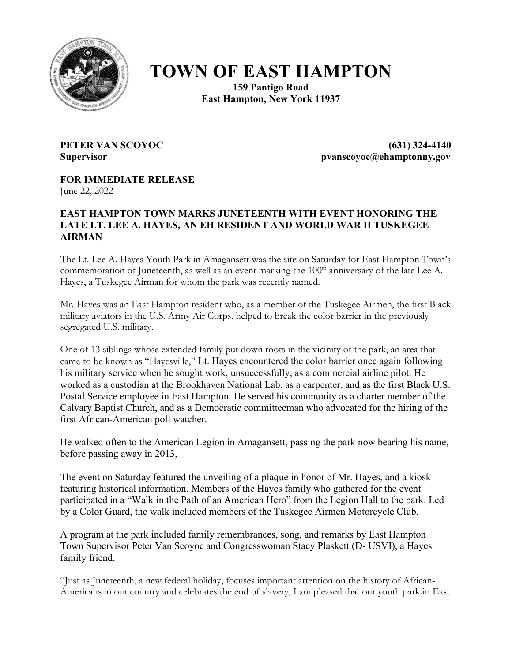

## **TOWN OF EAST HAMPTON**

**159 Pantigo Road East Hampton, New York 11937**

**PETER VAN SCOYOC (631) 324-4140 Supervisor pvanscoyoc@ehamptonny.gov**

**FOR IMMEDIATE RELEASE** June 22, 2022

## **EAST HAMPTON TOWN MARKS JUNETEENTH WITH EVENT HONORING THE LATE LT. LEE A. HAYES, AN EH RESIDENT AND WORLD WAR II TUSKEGEE AIRMAN**

The Lt. Lee A. Hayes Youth Park in Amagansett was the site on Saturday for East Hampton Town's commemoration of Juneteenth, as well as an event marking the 100<sup>th</sup> anniversary of the late Lee A. Hayes, a Tuskegee Airman for whom the park was recently named.

Mr. Hayes was an East Hampton resident who, as a member of the Tuskegee Airmen, the first Black military aviators in the U.S. Army Air Corps, helped to break the color barrier in the previously segregated U.S. military.

One of 13 siblings whose extended family put down roots in the vicinity of the park, an area that came to be known as "Hayesville," Lt. Hayes encountered the color barrier once again following his military service when he sought work, unsuccessfully, as a commercial airline pilot. He worked as a custodian at the Brookhaven National Lab, as a carpenter, and as the first Black U.S. Postal Service employee in East Hampton. He served his community as a charter member of the Calvary Baptist Church, and as a Democratic committeeman who advocated for the hiring of the first African-American poll watcher.

He walked often to the American Legion in Amagansett, passing the park now bearing his name, before passing away in 2013,

The event on Saturday featured the unveiling of a plaque in honor of Mr. Hayes, and a kiosk featuring historical information. Members of the Hayes family who gathered for the event participated in a "Walk in the Path of an American Hero" from the Legion Hall to the park. Led by a Color Guard, the walk included members of the Tuskegee Airmen Motorcycle Club.

A program at the park included family remembrances, song, and remarks by East Hampton Town Supervisor Peter Van Scoyoc and Congresswoman Stacy Plaskett (D- USVI), a Hayes family friend.

"Just as Juneteenth, a new federal holiday, focuses important attention on the history of African-Americans in our country and celebrates the end of slavery, I am pleased that our youth park in East